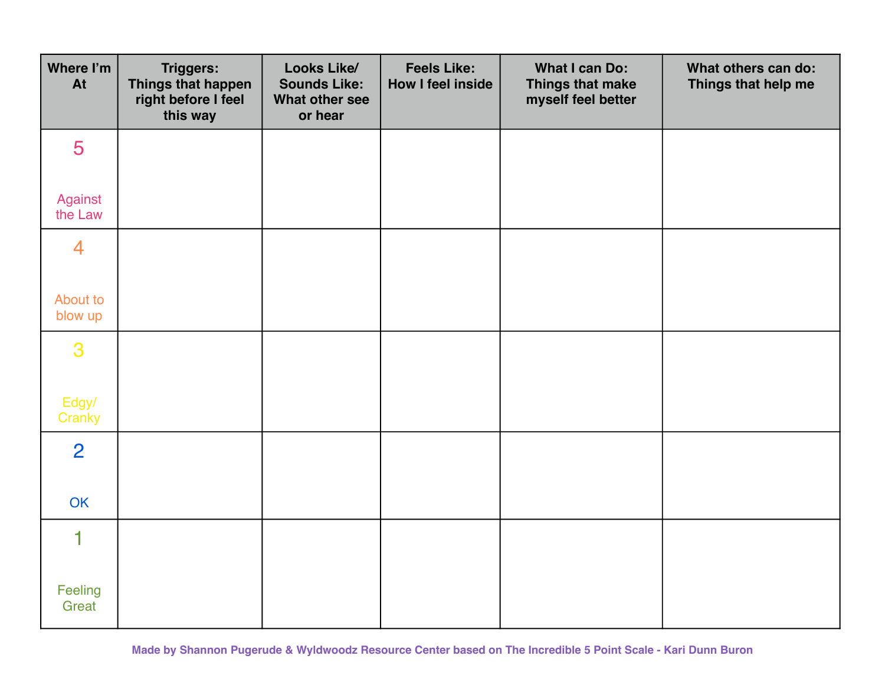| Where I'm<br>At     | <b>Triggers:</b><br>Things that happen<br>right before I feel<br>this way | Looks Like/<br><b>Sounds Like:</b><br>What other see<br>or hear | <b>Feels Like:</b><br>How I feel inside | What I can Do:<br>Things that make<br>myself feel better | What others can do:<br>Things that help me |
|---------------------|---------------------------------------------------------------------------|-----------------------------------------------------------------|-----------------------------------------|----------------------------------------------------------|--------------------------------------------|
| 5                   |                                                                           |                                                                 |                                         |                                                          |                                            |
| Against<br>the Law  |                                                                           |                                                                 |                                         |                                                          |                                            |
| 4                   |                                                                           |                                                                 |                                         |                                                          |                                            |
| About to<br>blow up |                                                                           |                                                                 |                                         |                                                          |                                            |
| 3                   |                                                                           |                                                                 |                                         |                                                          |                                            |
| Edgy/<br>Cranky     |                                                                           |                                                                 |                                         |                                                          |                                            |
| $\overline{2}$      |                                                                           |                                                                 |                                         |                                                          |                                            |
| OK                  |                                                                           |                                                                 |                                         |                                                          |                                            |
| $\mathbf 1$         |                                                                           |                                                                 |                                         |                                                          |                                            |
| Feeling<br>Great    |                                                                           |                                                                 |                                         |                                                          |                                            |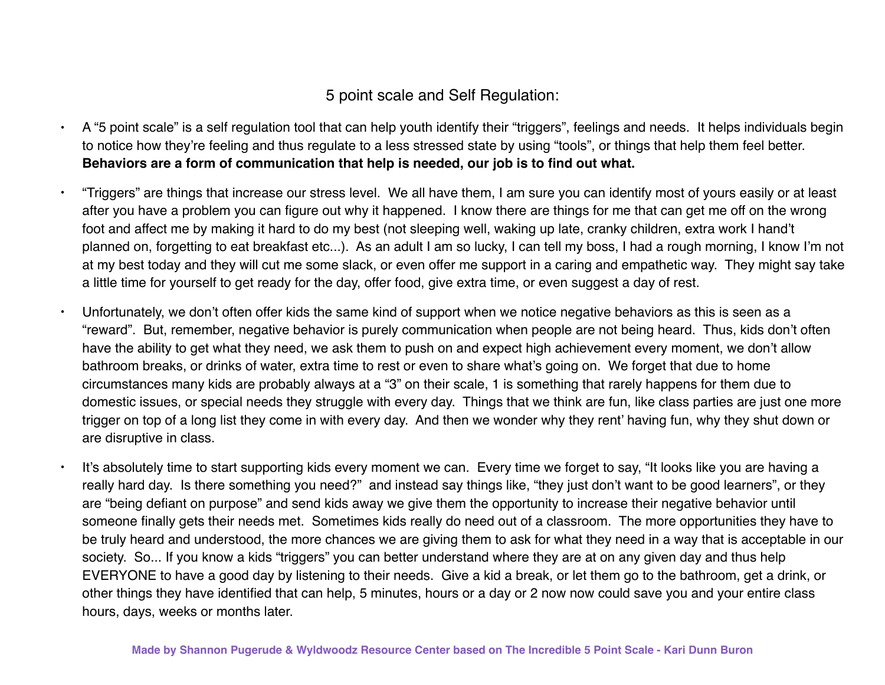## 5 point scale and Self Regulation:

- A "5 point scale" is a self regulation tool that can help youth identify their "triggers", feelings and needs. It helps individuals begin to notice how they're feeling and thus regulate to a less stressed state by using "tools", or things that help them feel better. **Behaviors are a form of communication that help is needed, our job is to find out what.**
- "Triggers" are things that increase our stress level. We all have them, I am sure you can identify most of yours easily or at least after you have a problem you can figure out why it happened. I know there are things for me that can get me off on the wrong foot and affect me by making it hard to do my best (not sleeping well, waking up late, cranky children, extra work I hand't planned on, forgetting to eat breakfast etc...). As an adult I am so lucky, I can tell my boss, I had a rough morning, I know I'm not at my best today and they will cut me some slack, or even offer me support in a caring and empathetic way. They might say take a little time for yourself to get ready for the day, offer food, give extra time, or even suggest a day of rest.
- Unfortunately, we don't often offer kids the same kind of support when we notice negative behaviors as this is seen as a "reward". But, remember, negative behavior is purely communication when people are not being heard. Thus, kids don't often have the ability to get what they need, we ask them to push on and expect high achievement every moment, we don't allow bathroom breaks, or drinks of water, extra time to rest or even to share what's going on. We forget that due to home circumstances many kids are probably always at a "3" on their scale, 1 is something that rarely happens for them due to domestic issues, or special needs they struggle with every day. Things that we think are fun, like class parties are just one more trigger on top of a long list they come in with every day. And then we wonder why they rent' having fun, why they shut down or are disruptive in class.
- It's absolutely time to start supporting kids every moment we can. Every time we forget to say, "It looks like you are having a really hard day. Is there something you need?" and instead say things like, "they just don't want to be good learners", or they are "being defiant on purpose" and send kids away we give them the opportunity to increase their negative behavior until someone finally gets their needs met. Sometimes kids really do need out of a classroom. The more opportunities they have to be truly heard and understood, the more chances we are giving them to ask for what they need in a way that is acceptable in our society. So... If you know a kids "triggers" you can better understand where they are at on any given day and thus help EVERYONE to have a good day by listening to their needs. Give a kid a break, or let them go to the bathroom, get a drink, or other things they have identified that can help, 5 minutes, hours or a day or 2 now now could save you and your entire class hours, days, weeks or months later.